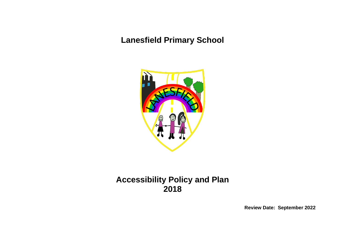## **Lanesfield Primary School**



## **Accessibility Policy and Plan 2018**

**Review Date: September 2022**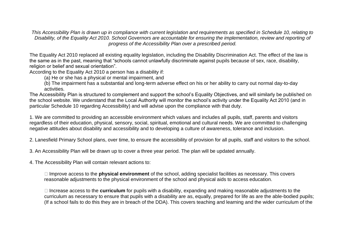*This Accessibility Plan is drawn up in compliance with current legislation and requirements as specified in Schedule 10, relating to Disability, of the Equality Act 2010. School Governors are accountable for ensuring the implementation, review and reporting of progress of the Accessibility Plan over a prescribed period.*

The Equality Act 2010 replaced all existing equality legislation, including the Disability Discrimination Act. The effect of the law is the same as in the past, meaning that "schools cannot unlawfully discriminate against pupils because of sex, race, disability, religion or belief and sexual orientation".

According to the Equality Act 2010 a person has a disability if:

(a) He or she has a physical or mental impairment, and

(b) The impairment has a substantial and long-term adverse effect on his or her ability to carry out normal day-to-day activities.

The Accessibility Plan is structured to complement and support the school's Equality Objectives, and will similarly be published on the school website. We understand that the Local Authority will monitor the school's activity under the Equality Act 2010 (and in particular Schedule 10 regarding Accessibility) and will advise upon the compliance with that duty.

1. We are committed to providing an accessible environment which values and includes all pupils, staff, parents and visitors regardless of their education, physical, sensory, social, spiritual, emotional and cultural needs. We are committed to challenging negative attitudes about disability and accessibility and to developing a culture of awareness, tolerance and inclusion.

2. Lanesfield Primary School plans, over time, to ensure the accessibility of provision for all pupils, staff and visitors to the school.

3. An Accessibility Plan will be drawn up to cover a three year period. The plan will be updated annually.

4. The Accessibility Plan will contain relevant actions to:

Improve access to the **physical environment** of the school, adding specialist facilities as necessary. This covers reasonable adjustments to the physical environment of the school and physical aids to access education.

Increase access to the **curriculum** for pupils with a disability, expanding and making reasonable adjustments to the curriculum as necessary to ensure that pupils with a disability are as, equally, prepared for life as are the able-bodied pupils; (If a school fails to do this they are in breach of the DDA). This covers teaching and learning and the wider curriculum of the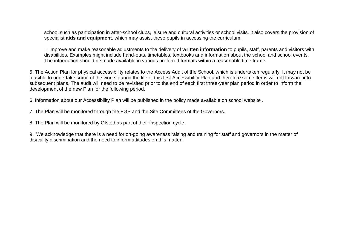school such as participation in after-school clubs, leisure and cultural activities or school visits. It also covers the provision of specialist **aids and equipment**, which may assist these pupils in accessing the curriculum.

Improve and make reasonable adjustments to the delivery of **written information** to pupils, staff, parents and visitors with disabilities. Examples might include hand-outs, timetables, textbooks and information about the school and school events. The information should be made available in various preferred formats within a reasonable time frame.

5. The Action Plan for physical accessibility relates to the Access Audit of the School, which is undertaken regularly. It may not be feasible to undertake some of the works during the life of this first Accessibility Plan and therefore some items will roll forward into subsequent plans. The audit will need to be revisited prior to the end of each first three-year plan period in order to inform the development of the new Plan for the following period.

6. Information about our Accessibility Plan will be published in the policy made available on school website .

7. The Plan will be monitored through the FGP and the Site Committees of the Governors.

8. The Plan will be monitored by Ofsted as part of their inspection cycle.

9. We acknowledge that there is a need for on-going awareness raising and training for staff and governors in the matter of disability discrimination and the need to inform attitudes on this matter.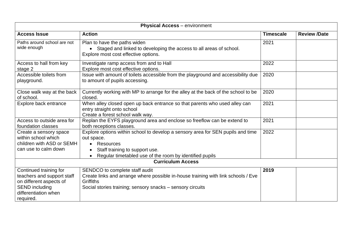| <b>Physical Access</b> - environment                                                                                                          |                                                                                                                                                                                                                      |      |  |  |  |
|-----------------------------------------------------------------------------------------------------------------------------------------------|----------------------------------------------------------------------------------------------------------------------------------------------------------------------------------------------------------------------|------|--|--|--|
| <b>Access Issue</b>                                                                                                                           | <b>Action</b>                                                                                                                                                                                                        |      |  |  |  |
| Paths around school are not<br>wide enough                                                                                                    | Plan to have the paths widen<br>Staged and linked to developing the access to all areas of school.<br>Explore most cost effective options.                                                                           |      |  |  |  |
| Access to hall from key<br>stage 2                                                                                                            | Investigate ramp access from and to Hall<br>Explore most cost effective options.                                                                                                                                     | 2022 |  |  |  |
| Accessible toilets from<br>playground.                                                                                                        | Issue with amount of toilets accessible from the playground and accessibility due<br>2020                                                                                                                            |      |  |  |  |
| Close walk way at the back<br>of school.                                                                                                      | Currently working with MP to arrange for the alley at the back of the school to be<br>closed.                                                                                                                        | 2020 |  |  |  |
| Explore back entrance                                                                                                                         | When alley closed open up back entrance so that parents who used alley can<br>entry straight onto school<br>Create a forest school walk way.                                                                         |      |  |  |  |
| Access to outside area for<br>foundation classes                                                                                              | Replan the EYFS playground area and enclose so freeflow can be extend to<br>both receptions classes.                                                                                                                 | 2021 |  |  |  |
| Create a sensory space<br>within school which<br>children with ASD or SEMH<br>can use to calm down                                            | Explore options within school to develop a sensory area for SEN pupils and time<br>out space.<br>Resources<br>$\bullet$<br>Staff training to support use.<br>Regular timetabled use of the room by identified pupils | 2022 |  |  |  |
|                                                                                                                                               | <b>Curriculum Access</b>                                                                                                                                                                                             |      |  |  |  |
| Continued training for<br>teachers and support staff<br>on different aspects of<br><b>SEND including</b><br>differentiation when<br>required. | SENDCO to complete staff audit<br>Create links and arrange where possible in-house training with link schools / Eve<br><b>Griffiths</b><br>Social stories training; sensory snacks - sensory circuits                | 2019 |  |  |  |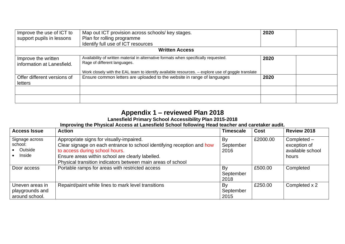| Improve the use of ICT to                         | Map out ICT provision across schools/ key stages.                                                                    | 2020 |  |
|---------------------------------------------------|----------------------------------------------------------------------------------------------------------------------|------|--|
| support pupils in lessons                         | Plan for rolling programme                                                                                           |      |  |
|                                                   |                                                                                                                      |      |  |
|                                                   | <b>Written Access</b>                                                                                                |      |  |
| Improve the written<br>information at Lanesfield. | Availability of written material in alternative formats when specifically requested.<br>Rage of different languages. | 2020 |  |
|                                                   | Work closely with the EAL team to identify available resources. - explore use of goggle translate                    |      |  |
| Offer different versions of<br>letters            | Ensure common letters are uploaded to the website in range of languages                                              | 2020 |  |
|                                                   |                                                                                                                      |      |  |
|                                                   |                                                                                                                      |      |  |

## **Appendix 1 – reviewed Plan 2018**

## **Lanesfield Primary School Accessibility Plan 2015-2018**

**Improving the Physical Access at Lanesfield School following Head teacher and caretaker audit.**

| <b>Access Issue</b>                                  | <b>Action</b>                                                                                                                                                                                                                                                           | <b>Timescale</b>        | <b>Cost</b> | Review 2018                                              |
|------------------------------------------------------|-------------------------------------------------------------------------------------------------------------------------------------------------------------------------------------------------------------------------------------------------------------------------|-------------------------|-------------|----------------------------------------------------------|
| Signage across<br>school:<br>• Outside<br>Inside     | Appropriate signs for visually-impaired.<br>Clear signage on each entrance to school identifying reception and how<br>to access during school hours.<br>Ensure areas within school are clearly labelled.<br>Physical transition indicators between main areas of school | By<br>September<br>2016 | £2000.00    | Completed -<br>exception of<br>available school<br>hours |
| Door access                                          | Portable ramps for areas with restricted access                                                                                                                                                                                                                         | By<br>September<br>2018 | £500.00     | Completed                                                |
| Uneven areas in<br>playgrounds and<br>around school. | Repaint/paint white lines to mark level transitions                                                                                                                                                                                                                     | By<br>September<br>2015 | £250.00     | Completed x 2                                            |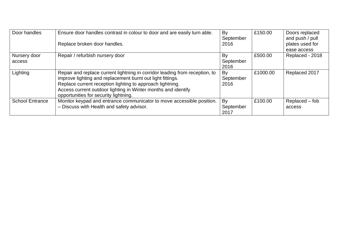| Door handles           | Ensure door handles contrast in colour to door and are easily turn able.<br>Replace broken door handles.                                                                                                                                                                                                         | By<br>September<br>2016 | £150.00  | Doors replaced<br>and push / pull<br>plates used for<br>ease access |
|------------------------|------------------------------------------------------------------------------------------------------------------------------------------------------------------------------------------------------------------------------------------------------------------------------------------------------------------|-------------------------|----------|---------------------------------------------------------------------|
| Nursery door<br>access | Repair / refurbish nursery door                                                                                                                                                                                                                                                                                  | By<br>September<br>2016 | £500.00  | Replaced - 2018                                                     |
| Lighting               | Repair and replace current lightning in corridor leading from reception, to<br>improve lighting and replacement burnt out light fittings.<br>Replace current reception lighting to approach lightning.<br>Access current outdoor lighting in Winter months and identify<br>opportunities for security lightning. | By<br>September<br>2016 | £1000.00 | Replaced 2017                                                       |
| <b>School Entrance</b> | Monitor keypad and entrance communicator to move accessible position.<br>- Discuss with Health and safety advisor.                                                                                                                                                                                               | By<br>September<br>2017 | £100.00  | Replaced – fob<br>access                                            |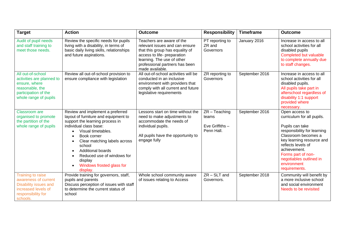| <b>Target</b>                                                                                                                       | <b>Action</b>                                                                                                                                                                                                                                                                                                               | <b>Outcome</b>                                                                                                                                                                                                   | <b>Responsibility</b>                                     | <b>Timeframe</b> | <b>Outcome</b>                                                                                                                                                                                                                                                            |
|-------------------------------------------------------------------------------------------------------------------------------------|-----------------------------------------------------------------------------------------------------------------------------------------------------------------------------------------------------------------------------------------------------------------------------------------------------------------------------|------------------------------------------------------------------------------------------------------------------------------------------------------------------------------------------------------------------|-----------------------------------------------------------|------------------|---------------------------------------------------------------------------------------------------------------------------------------------------------------------------------------------------------------------------------------------------------------------------|
| Audit of pupil needs<br>and staff training to<br>meet those needs.                                                                  | Review the specific needs for pupils<br>living with a disability, in terms of<br>basic daily living skills, relationships<br>and future aspirations.                                                                                                                                                                        | Teachers are aware of the<br>relevant issues and can ensure<br>that this group has equality of<br>access to life- preparation<br>learning. The use of other<br>professional partners has been<br>made available. | PT reporting to<br>ZR and<br>Governors                    | January 2016     | Increase in access to all<br>school activities for all<br>disabled pupils<br>Completed but valuable<br>to complete annually due<br>to staff changes.                                                                                                                      |
| All out-of-school<br>activities are planned to<br>ensure, where<br>reasonable, the<br>participation of the<br>whole range of pupils | Review all out-of-school provision to<br>ensure compliance with legislation                                                                                                                                                                                                                                                 | All out-of-school activities will be<br>conducted in an inclusive<br>environment with providers that<br>comply with all current and future<br>legislative requirements                                           | ZR reporting to<br>Governors                              | September 2016   | Increase in access to all<br>school activities for all<br>disabled pupils.<br>All pupils take part in<br>afterschool regardless of<br>disability 1:1 support<br>provided where<br>necessary.                                                                              |
| Classroom are<br>organised to promote<br>the partition of the<br>whole range of pupils                                              | Review and implement a preferred<br>layout of furniture and equipment to<br>support the learning process in<br>individual class base:<br>Visual timetables.<br>Book corner<br>Clear matching labels across<br>school<br>Additional boards<br>Reduced use of windows for<br>display<br>Windows frosted glass for<br>display. | Lessons start on time without the<br>need to make adjustments to<br>accommodate the needs of<br>individual pupils.<br>All pupils have the opportunity to<br>engage fully                                         | $ZR - Teaching$<br>teams<br>Eve Griffiths -<br>Penn Hall. | September 2016   | Open access to<br>curriculum for all pupils.<br>Pupils can take<br>responsibility for learning<br>Classroom becomes a<br>key learning resource and<br>reflects levels of<br>achievement.<br>Forms part of non-<br>negotiables outlined in<br>environment<br>requirements. |
| Training to raise<br>awareness of current<br>Disability issues and<br>increased levels of<br>responsibility for<br>schools.         | Provide training for governors, staff,<br>pupils and parents<br>Discuss perception of issues with staff<br>to determine the current status of<br>school                                                                                                                                                                     | Whole school community aware<br>of issues relating to Access                                                                                                                                                     | $ZR - SLT$ and<br>Governors.                              | September 2018   | Community will benefit by<br>a more inclusive school<br>and social environment<br>Needs to be revisited                                                                                                                                                                   |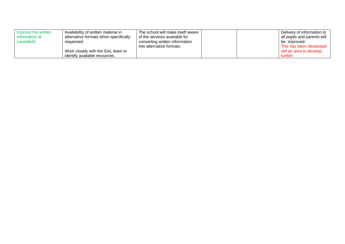| Improve the written | Availability of written material in   | The school will make itself aware |  | Delivery of information to  |
|---------------------|---------------------------------------|-----------------------------------|--|-----------------------------|
| information at      | alternative formats when specifically | of the services available for     |  | all pupils and parents will |
| Lanesfield.         | requested.                            | converting written information    |  | be improved.                |
|                     |                                       | into alternative formats.         |  | This has been developed     |
|                     | Work closely with the EAL team to     |                                   |  | still an area to develop    |
|                     | identify available resources.         |                                   |  | further.                    |